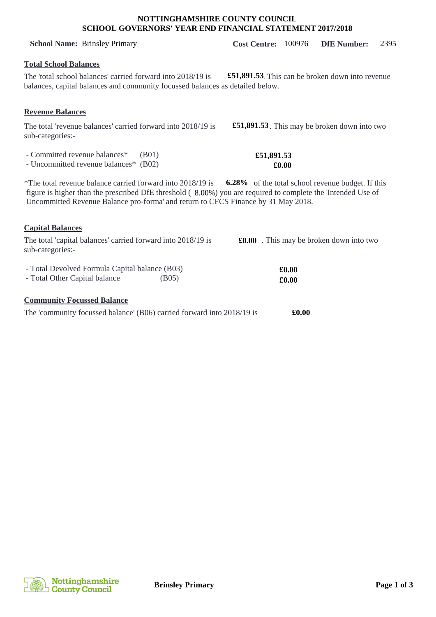### **NOTTINGHAMSHIRE COUNTY COUNCIL SCHOOL GOVERNORS' YEAR END FINANCIAL STATEMENT 2017/2018**

## **Total School Balances**

The 'total school balances' carried forward into 2018/19 is balances, capital balances and community focussed balances as detailed below. **£51,891.53** This can be broken down into revenue

# **Revenue Balances**

The total 'revenue balances' carried forward into 2018/19 is sub-categories:-

- Committed revenue balances\* (B01)

- Uncommitted revenue balances\* (B02)

\*The total revenue balance carried forward into 2018/19 is figure is higher than the prescribed DfE threshold (8.00%) you are required to complete the 'Intended Use of Uncommitted Revenue Balance pro-forma' and return to CFCS Finance by 31 May 2018. **6.28%** of the total school revenue budget. If this

# **Capital Balances**

| The total 'capital balances' carried forward into 2018/19 is<br>sub-categories:- |                    | <b>£0.00</b> . This may be broken down into two |
|----------------------------------------------------------------------------------|--------------------|-------------------------------------------------|
| - Total Devolved Formula Capital balance (B03)<br>- Total Other Capital balance  | (B <sub>05</sub> ) | £0.00<br>$\pmb{\pounds}0.00$                    |
| <b>Community Focussed Balance</b>                                                |                    |                                                 |

| The 'community focussed balance' (B06) carried forward into 2018/19 is |  |  |  |  |  |  | $\pounds0.00$ |
|------------------------------------------------------------------------|--|--|--|--|--|--|---------------|
|------------------------------------------------------------------------|--|--|--|--|--|--|---------------|



£51,891.53. This may be broken down into two

### **£51,891.53 £0.00**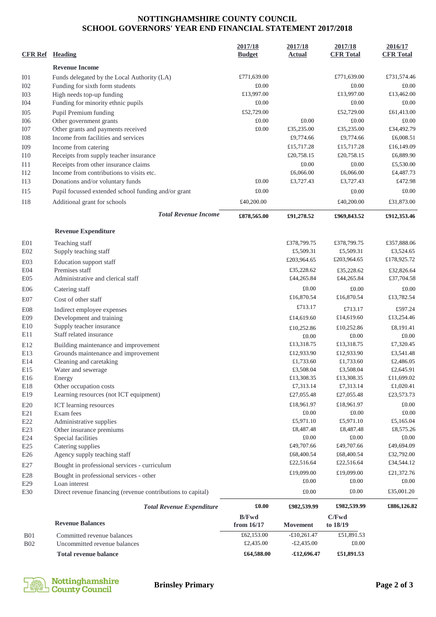# **NOTTINGHAMSHIRE COUNTY COUNCIL SCHOOL GOVERNORS' YEAR END FINANCIAL STATEMENT 2017/2018**

| <b>CFR Ref</b>  | Heading                                                                     | 2017/18<br><b>Budget</b>   | 2017/18<br><b>Actual</b> | 2017/18<br><b>CFR Total</b> | 2016/17<br><b>CFR Total</b> |
|-----------------|-----------------------------------------------------------------------------|----------------------------|--------------------------|-----------------------------|-----------------------------|
|                 | <b>Revenue Income</b>                                                       |                            |                          |                             |                             |
| I <sub>01</sub> | Funds delegated by the Local Authority (LA)                                 | £771,639.00                |                          | £771,639.00                 | £731,574.46                 |
| I <sub>02</sub> | Funding for sixth form students                                             | £0.00                      |                          | £0.00                       | £0.00                       |
| I <sub>03</sub> | High needs top-up funding                                                   | £13,997.00                 |                          | £13,997.00                  | £13,462.00                  |
| I <sub>04</sub> | Funding for minority ethnic pupils                                          | £0.00                      |                          | £0.00                       | £0.00                       |
| I <sub>05</sub> | Pupil Premium funding                                                       | £52,729.00                 |                          | £52,729.00                  | £61,413.00                  |
| I06             | Other government grants                                                     | £0.00                      | £0.00                    | £0.00                       | £0.00                       |
| I07             | Other grants and payments received                                          | £0.00                      | £35,235.00               | £35,235.00                  | £34,492.79                  |
| <b>I08</b>      | Income from facilities and services                                         |                            | £9,774.66                | £9,774.66                   | £6,008.51                   |
| I09             | Income from catering                                                        |                            | £15,717.28               | £15,717.28                  | £16,149.09                  |
| 110             | Receipts from supply teacher insurance                                      |                            | £20,758.15               | £20,758.15                  | £6,889.90                   |
| I11             | Receipts from other insurance claims                                        |                            | £0.00                    | £0.00                       | £5,530.00                   |
| <b>I12</b>      | Income from contributions to visits etc.                                    |                            | £6,066.00                | £6,066.00                   | £4,487.73                   |
| I13             | Donations and/or voluntary funds                                            | £0.00                      | £3,727.43                | £3,727.43                   | £472.98                     |
| <b>I15</b>      | Pupil focussed extended school funding and/or grant                         | £0.00                      |                          | £0.00                       | £0.00                       |
| <b>I18</b>      | Additional grant for schools                                                | £40,200.00                 |                          | £40,200.00                  | £31,873.00                  |
|                 | <b>Total Revenue Income</b>                                                 | £878,565.00                | £91,278.52               | £969,843.52                 | £912,353.46                 |
|                 | <b>Revenue Expenditure</b>                                                  |                            |                          |                             |                             |
| E01             | Teaching staff                                                              |                            | £378,799.75              | £378,799.75                 | £357,888.06                 |
| E02             | Supply teaching staff                                                       |                            | £5,509.31                | £5,509.31                   | £3,524.65                   |
| E03             | Education support staff                                                     |                            | £203,964.65              | £203,964.65                 | £178,925.72                 |
| E04             | Premises staff                                                              |                            | £35,228.62               | £35,228.62                  | £32,826.64                  |
| E05             | Administrative and clerical staff                                           |                            | £44,265.84               | £44,265.84                  | £37,704.58                  |
| E <sub>06</sub> | Catering staff                                                              |                            | £0.00                    | £0.00                       | £0.00                       |
| E07             | Cost of other staff                                                         |                            | £16,870.54               | £16,870.54                  | £13,782.54                  |
|                 |                                                                             |                            | £713.17                  |                             |                             |
| <b>E08</b>      | Indirect employee expenses                                                  |                            | £14,619.60               | £713.17<br>£14,619.60       | £597.24<br>£13,254.46       |
| E09<br>E10      | Development and training<br>Supply teacher insurance                        |                            |                          |                             |                             |
| E11             | Staff related insurance                                                     |                            | £10,252.86               | £10,252.86                  | £8,191.41                   |
|                 |                                                                             |                            | £0.00<br>£13,318.75      | £0.00<br>£13,318.75         | £0.00<br>£7,320.45          |
| E12<br>E13      | Building maintenance and improvement<br>Grounds maintenance and improvement |                            | £12,933.90               | £12,933.90                  | £3,541.48                   |
| E14             | Cleaning and caretaking                                                     |                            | £1,733.60                | £1,733.60                   | £2,486.05                   |
| E15             | Water and sewerage                                                          |                            | £3,508.04                | £3,508.04                   | £2,645.91                   |
| E16             | Energy                                                                      |                            | £13,308.35               | £13,308.35                  | £11,699.02                  |
| E18             | Other occupation costs                                                      |                            | £7,313.14                | £7,313.14                   | £1,020.41                   |
| E19             | Learning resources (not ICT equipment)                                      |                            | £27,055.48               | £27,055.48                  | £23,573.73                  |
| E20             | ICT learning resources                                                      |                            | £18,961.97               | £18,961.97                  | £0.00                       |
| E21             | Exam fees                                                                   |                            | £0.00                    | £0.00                       | £0.00                       |
| E22             | Administrative supplies                                                     |                            | £5,971.10                | £5,971.10                   | £5,165.04                   |
| E23             | Other insurance premiums                                                    |                            | £8,487.48                | £8,487.48                   | £8,575.26                   |
| E24             | Special facilities                                                          |                            | £0.00                    | £0.00                       | £0.00                       |
| E25             | Catering supplies                                                           |                            | £49,707.66               | £49,707.66                  | £49,694.09                  |
| E <sub>26</sub> | Agency supply teaching staff                                                |                            | £68,400.54               | £68,400.54                  | £32,792.00                  |
| E27             | Bought in professional services - curriculum                                |                            | £22,516.64               | £22,516.64                  | £34,544.12                  |
| E28             | Bought in professional services - other                                     |                            | £19,099.00               | £19,099.00                  | £21,372.76                  |
| E29             | Loan interest                                                               |                            | £0.00                    | £0.00                       | £0.00                       |
| E30             | Direct revenue financing (revenue contributions to capital)                 |                            | £0.00                    | £0.00                       | £35,001.20                  |
|                 | <b>Total Revenue Expenditure</b>                                            | £0.00                      | £982,539.99              | £982,539.99                 | £886,126.82                 |
|                 | <b>Revenue Balances</b>                                                     | <b>B/Fwd</b><br>from 16/17 | Movement                 | C/Fwd<br>to 18/19           |                             |
| <b>B01</b>      | Committed revenue balances                                                  | £62,153.00                 | $-£10,261.47$            | £51,891.53                  |                             |
| <b>B02</b>      | Uncommitted revenue balances                                                | £2,435.00                  | $-£2,435.00$             | £0.00                       |                             |
|                 | <b>Total revenue balance</b>                                                | £64,588.00                 | $-£12,696.47$            | £51,891.53                  |                             |